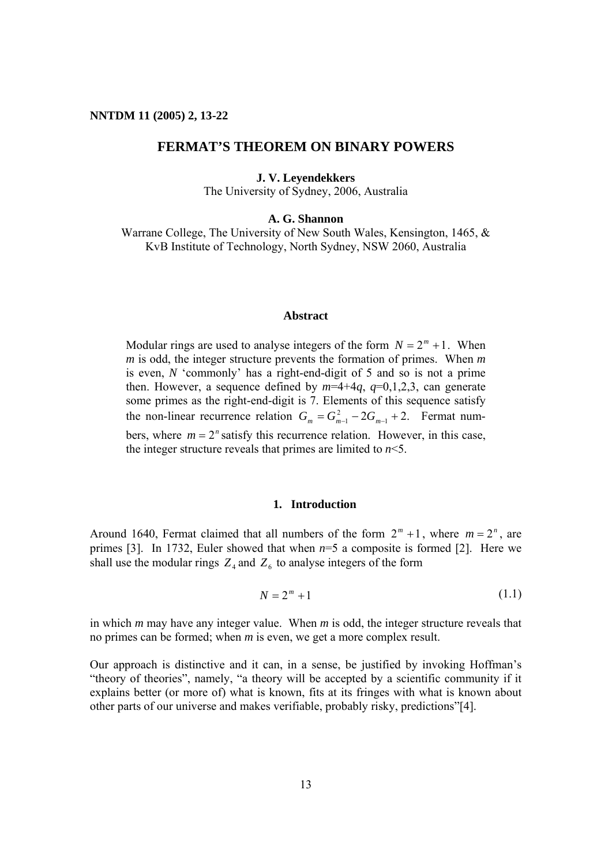## **FERMAT'S THEOREM ON BINARY POWERS**

**J. V. Leyendekkers** 

The University of Sydney, 2006, Australia

**A. G. Shannon** 

Warrane College, The University of New South Wales, Kensington, 1465, & KvB Institute of Technology, North Sydney, NSW 2060, Australia

## **Abstract**

Modular rings are used to analyse integers of the form  $N = 2<sup>m</sup> + 1$ . When *m* is odd, the integer structure prevents the formation of primes. When *m* is even, *N* 'commonly' has a right-end-digit of 5 and so is not a prime then. However, a sequence defined by  $m=4+4q$ ,  $q=0,1,2,3$ , can generate some primes as the right-end-digit is 7. Elements of this sequence satisfy the non-linear recurrence relation  $G_m = G_{m-1}^2 - 2G_{m-1} + 2$ . Fermat numbers, where  $m = 2<sup>n</sup>$  satisfy this recurrence relation. However, in this case, the integer structure reveals that primes are limited to  $n \leq 5$ .

## **1. Introduction**

Around 1640, Fermat claimed that all numbers of the form  $2^m + 1$ , where  $m = 2^n$ , are primes [3]. In 1732, Euler showed that when *n*=5 a composite is formed [2]. Here we shall use the modular rings  $Z_4$  and  $Z_6$  to analyse integers of the form

$$
N = 2m + 1
$$
 (1.1)

in which *m* may have any integer value. When *m* is odd, the integer structure reveals that no primes can be formed; when *m* is even, we get a more complex result.

Our approach is distinctive and it can, in a sense, be justified by invoking Hoffman's "theory of theories", namely, "a theory will be accepted by a scientific community if it explains better (or more of) what is known, fits at its fringes with what is known about other parts of our universe and makes verifiable, probably risky, predictions"[4].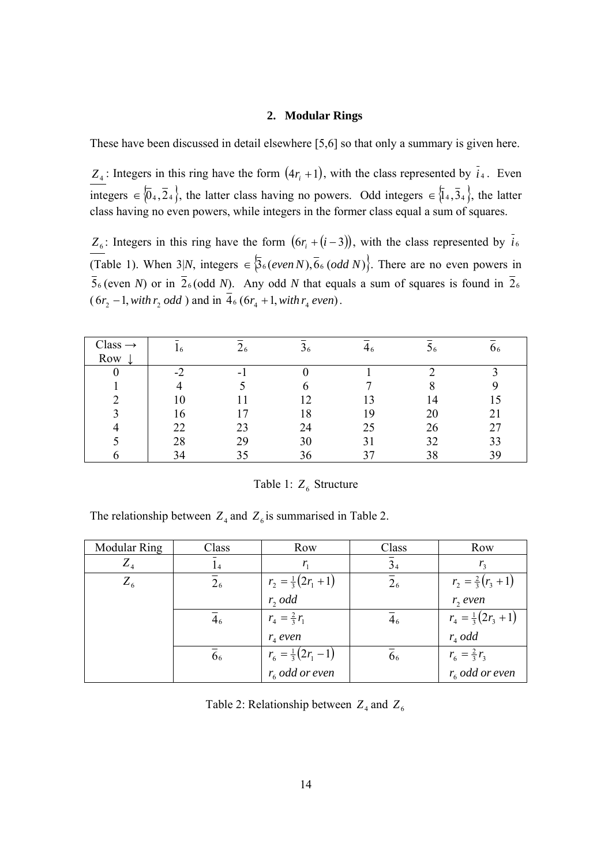#### **2. Modular Rings**

These have been discussed in detail elsewhere [5,6] so that only a summary is given here.

 $Z_4$ : Integers in this ring have the form  $(4r_i + 1)$ , with the class represented by  $\bar{i}_4$ . Even integers ∈  $\{0_4,2_4\}$ , the latter class having no powers. Odd integers ∈  $\{1_4,3_4\}$ , the latter class having no even powers, while integers in the former class equal a sum of squares.

*Z*<sub>6</sub>: Integers in this ring have the form  $(6r_i + (i-3))$ , with the class represented by  $\bar{i}_6$ (Table 1). When 3|N, integers  $\in$   $\{36 \, (even\, N), 66 \, (odd\, N)\}$ . There are no even powers in  $\overline{5}_6$  (even *N*) or in  $\overline{2}_6$  (odd *N*). Any odd *N* that equals a sum of squares is found in  $\overline{2}_6$  $(6r_2 - 1, with r_2 odd)$  and in  $\overline{4}_6 (6r_4 + 1, with r_4 even)$ .

| $Class \rightarrow$ | 16 | $\angle 6$ | $\mathfrak{26}$ | ┱ჿ | 96 |    |
|---------------------|----|------------|-----------------|----|----|----|
| Row                 |    |            |                 |    |    |    |
|                     | -2 |            |                 |    |    |    |
|                     |    |            |                 |    |    |    |
|                     | 10 |            |                 |    | 14 |    |
|                     | 16 | . –        | 18              | 19 | 20 | 21 |
|                     | 22 | 23         | 24              | 25 | 26 | 27 |
|                     | 28 | 29         | 30              |    | 32 | 33 |
|                     | 34 | 35         | 36              |    | 38 | 39 |

Table 1:  $Z_6$  Structure

The relationship between  $Z_4$  and  $Z_6$  is summarised in Table 2.

| <b>Modular Ring</b> | Class          | Row                           | Class          | Row                                         |
|---------------------|----------------|-------------------------------|----------------|---------------------------------------------|
| $Z_4$               | 14             | $r_{\scriptscriptstyle 1}$    | 3 <sub>4</sub> | $r_{\rm a}$                                 |
| $Z_{6}$             | 2 <sub>6</sub> | $r_2 = \frac{1}{3}(2r_1 + 1)$ | 2 <sub>6</sub> | $r_2 = \frac{2}{3}(r_3 + 1)$                |
|                     |                | r, odd                        |                | r, even                                     |
|                     | 4 <sub>6</sub> | $r_4 = \frac{2}{3} r_1$       | 4 <sub>6</sub> | $r_4 = \frac{1}{3}(2r_3 + 1)$               |
|                     |                | $r_{4}$ even                  |                | $r_4$ odd                                   |
|                     | 66             | $r_6 = \frac{1}{3}(2r_1 - 1)$ | 66             | $r_6 = \frac{2}{3}r_3$<br>$r_6$ odd or even |
|                     |                | $r_6$ odd or even             |                |                                             |

Table 2: Relationship between  $Z_4$  and  $Z_6$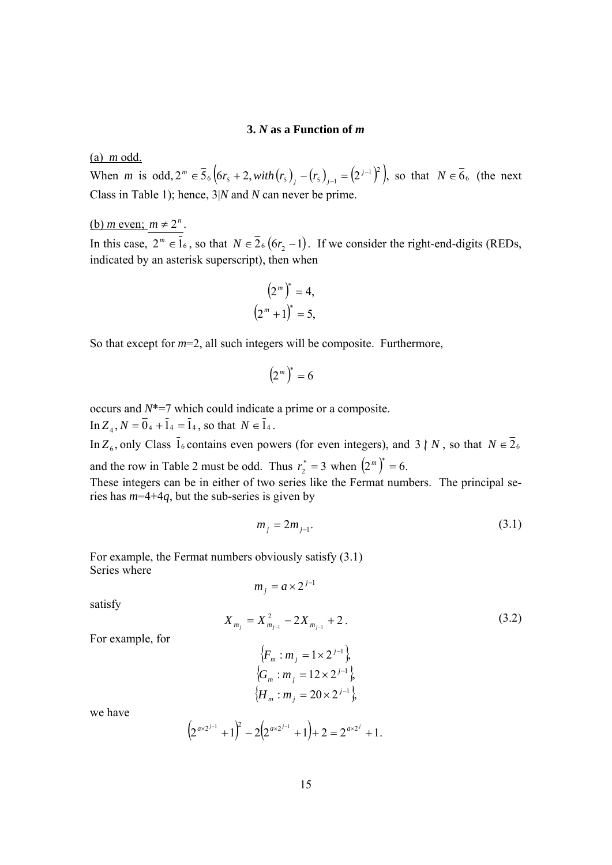#### **3.** *N* **as a Function of** *m*

(a) *m* odd.

When *m* is odd,  $2^m \in \bar{5}_6 \left( 6r_5 + 2, with (r_5)_j - (r_5)_{j-1} - (2^{j-1})^2 \right)$ , so that  $N \in \bar{6}_6$  (the next Class in Table 1); hence, 3|*N* and *N* can never be prime.

## (b) *m* even;  $m \neq 2^n$ .

In this case,  $2^m \in \mathbb{I}_6$ , so that  $N \in \mathbb{Z}_6$  ( $6r_2 - 1$ ). If we consider the right-end-digits (REDs, indicated by an asterisk superscript), then when

$$
(2m)* = 4,
$$
  

$$
(2m + 1)* = 5,
$$

So that except for *m*=2, all such integers will be composite. Furthermore,

$$
\left(2^m\right)^* = 6
$$

occurs and *N*\*=7 which could indicate a prime or a composite. In  $Z_4$ ,  $N = \overline{0}_4 + \overline{1}_4 = \overline{1}_4$ , so that  $N \in \overline{1}_4$ .

In  $Z_6$ , only Class  $\bar{1}_6$  contains even powers (for even integers), and 3 || *N*, so that  $N \in \bar{Z}_6$ 

and the row in Table 2 must be odd. Thus  $r_2^* = 3$  when  $(2^m)^* = 6$ .

These integers can be in either of two series like the Fermat numbers. The principal series has *m*=4+4*q*, but the sub-series is given by

$$
m_j = 2m_{j-1}.
$$
 (3.1)

For example, the Fermat numbers obviously satisfy (3.1) Series where  $m_i = a \times 2^{j-1}$ 

satisfy

$$
X_{m_j} = X_{m_{j-1}}^2 - 2X_{m_{j-1}} + 2.
$$
 (3.2)

For example, for

$$
\begin{aligned} \n\{F_m : m_j = 1 \times 2^{j-1}\}, \\ \n\{G_m : m_j = 12 \times 2^{j-1}\}, \\ \n\{H_m : m_j = 20 \times 2^{j-1}\}, \n\end{aligned}
$$

we have

$$
(2^{ax2^{j-1}}+1)^2-2(2^{ax2^{j-1}}+1)+2=2^{ax2^j}+1.
$$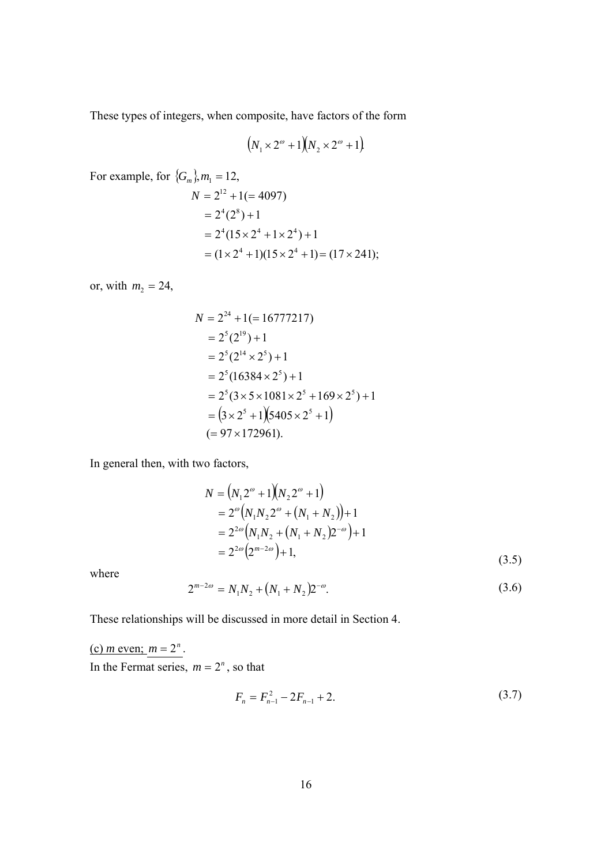These types of integers, when composite, have factors of the form

$$
(N_1 \times 2^{\omega} + 1)(N_2 \times 2^{\omega} + 1)
$$

For example, for 
$$
\{G_m\}
$$
,  $m_1 = 12$ ,  
\n
$$
N = 2^{12} + 1 (= 4097)
$$
\n
$$
= 2^4 (2^8) + 1
$$
\n
$$
= 2^4 (15 \times 2^4 + 1 \times 2^4) + 1
$$
\n
$$
= (1 \times 2^4 + 1)(15 \times 2^4 + 1) = (17 \times 241);
$$

or, with  $m_2 = 24$ ,

$$
N = 2^{24} + 1(= 16777217)
$$
  
= 2<sup>5</sup>(2<sup>19</sup>) + 1  
= 2<sup>5</sup>(2<sup>14</sup> × 2<sup>5</sup>) + 1  
= 2<sup>5</sup>(16384 × 2<sup>5</sup>) + 1  
= 2<sup>5</sup>(3 × 5 × 1081 × 2<sup>5</sup> + 169 × 2<sup>5</sup>) + 1  
= (3 × 2<sup>5</sup> + 1)(5405 × 2<sup>5</sup> + 1)  
= 97 × 172961).

In general then, with two factors,

$$
N = (N_1 2^{\omega} + 1)(N_2 2^{\omega} + 1)
$$
  
=  $2^{\omega} (N_1 N_2 2^{\omega} + (N_1 + N_2)) + 1$   
=  $2^{2\omega} (N_1 N_2 + (N_1 + N_2)2^{-\omega}) + 1$   
=  $2^{2\omega} (2^{m-2\omega}) + 1,$  (3.5)

where

$$
2^{m-2\omega} = N_1 N_2 + (N_1 + N_2) 2^{-\omega}.
$$
\n(3.6)

These relationships will be discussed in more detail in Section 4.

(c) *m* even;  $m = 2^n$ . In the Fermat series,  $m = 2<sup>n</sup>$ , so that

$$
F_n = F_{n-1}^2 - 2F_{n-1} + 2. \tag{3.7}
$$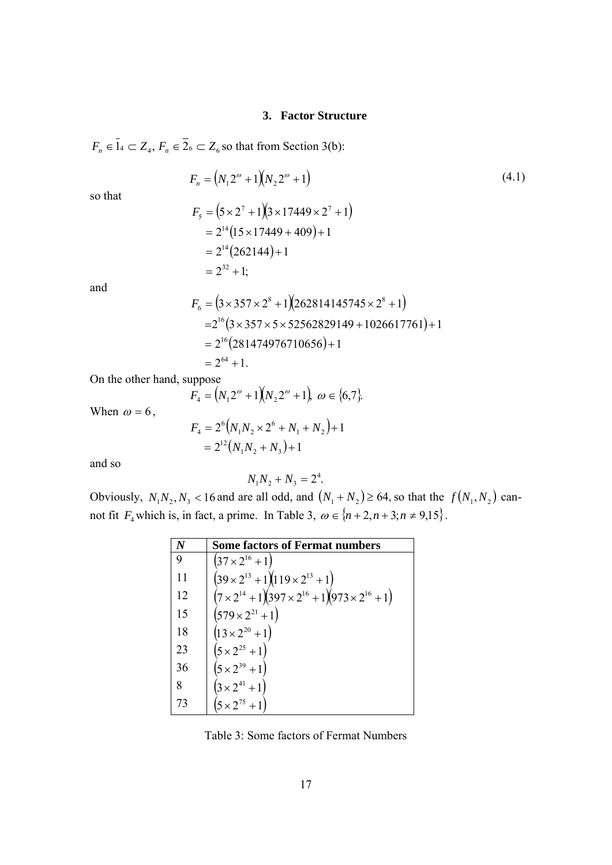#### **3. Factor Structure**

 $F_n \in \overline{1}_4 \subset Z_4$ ,  $F_n \in \overline{2}_6 \subset Z_6$  so that from Section 3(b):

 $= 2^{14} (262144) + 1$ 

 $= 2^{32} + 1;$ 

$$
F_n = (N_1 2^{\omega} + 1)(N_2 2^{\omega} + 1)
$$
  
\n
$$
F_5 = (5 \times 2^7 + 1)(3 \times 17449 \times 2^7 + 1)
$$
  
\n
$$
= 2^{14}(15 \times 17449 + 409) + 1
$$
\n(4.1)

and

so that

$$
F_6 = (3 \times 357 \times 2^8 + 1)(262814145745 \times 2^8 + 1)
$$
  
=  $2^{16}$  (3 × 357 × 5 × 52562829149 + 1026617761) + 1  
=  $2^{16}$  (281474976710656) + 1  
=  $2^{64}$  + 1.

On the other hand, suppose

$$
F_4 = (N_1 2^{\omega} + 1)(N_2 2^{\omega} + 1), \omega \in \{6, 7\}.
$$

 $2^{12}(N_1N_2+N_3)+1$ 

 $N_1 N_2 + N$ 

 $= 2^{12}(N_1N_2+N_3)+$ 

12

 $1<sup>1</sup>$  2  $1<sup>1</sup>$  3

When  $\omega = 6$ ,

$$
F_4 = 2^6 \Big( N_1 N_2 \times 2^6 + N_1 + N_2 \Big) + 1
$$

and so

$$
N_1 N_2 + N_3 = 2^4.
$$

Obviously,  $N_1N_2$ ,  $N_3$  < 16 and are all odd, and  $(N_1 + N_2) \ge 64$ , so that the  $f(N_1, N_2)$  cannot fit  $F_4$  which is, in fact, a prime. In Table 3,  $\omega \in \{n+2, n+3; n \neq 9, 15\}$ .

|    | <b>Some factors of Fermat numbers</b>                                 |
|----|-----------------------------------------------------------------------|
|    | $(37 \times 2^{16} + 1)$                                              |
| 11 | $(39 \times 2^{13} + 1)(119 \times 2^{13} + 1)$                       |
| 12 | $(7 \times 2^{14} + 1)(397 \times 2^{16} + 1)(973 \times 2^{16} + 1)$ |
| 15 | $(579 \times 2^{21} + 1)$                                             |
| 18 | $(13 \times 2^{20} + 1)$                                              |
| 23 | $(5 \times 2^{25} + 1)$                                               |
| 36 | $(5 \times 2^{39} + 1)$                                               |
| 8  | $(3 \times 2^{41} + 1)$                                               |
| 73 | $(5 \times 2^{75} + 1)$                                               |

Table 3: Some factors of Fermat Numbers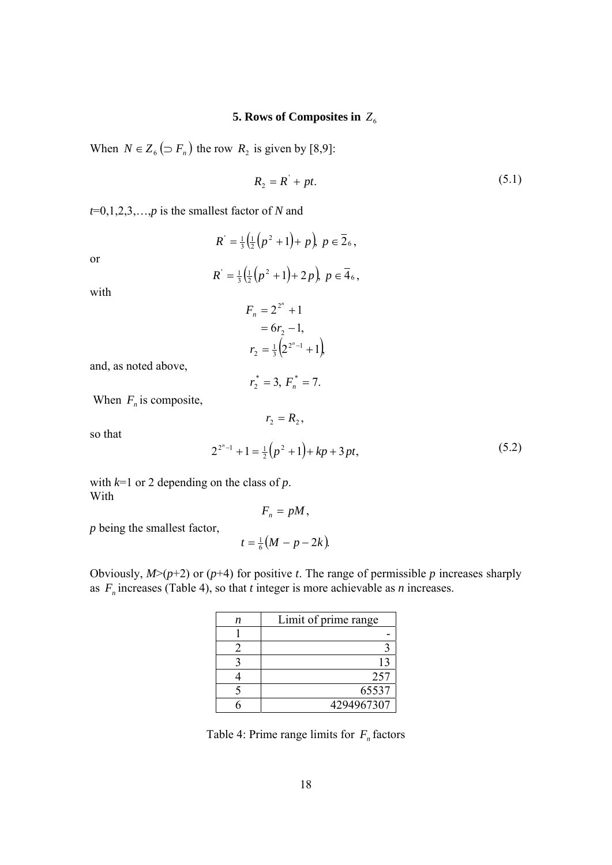# **5. Rows of Composites in**  $Z_6$

When  $N \in Z_6$  ( $\supset F_n$ ) the row  $R_2$  is given by [8,9]:

$$
R_2 = R' + pt. \tag{5.1}
$$

*t*=0,1,2,3,…,*p* is the smallest factor of *N* and

or

$$
R' = \frac{1}{3} \left( \frac{1}{2} \left( p^2 + 1 \right) + 2 p \right), \ p \in \overline{4}_6,
$$

 $\left(\frac{1}{2}(p^2+1)+p\right), p \in \overline{2}_6$  $R' = \frac{1}{3} \left( \frac{1}{2} \left( p^2 + 1 \right) + p \right), p \in 26,$ 

with

$$
F_n = 2^{2^n} + 1
$$
  
= 6r<sub>2</sub> - 1,  

$$
r_2 = \frac{1}{3} (2^{2^n - 1} + 1)
$$

and, as noted above,

$$
r_2^* = 3, F_n^* = 7.
$$

 $r_2 = R_2^2$ 

When  $F_n$  is composite,

so that

$$
2^{2^{n}-1} + 1 = \frac{1}{2}(p^{2} + 1) + kp + 3pt,
$$
\n(5.2)

with  $k=1$  or 2 depending on the class of  $p$ . With

$$
F_n = pM,
$$

*p* being the smallest factor,

$$
t=\tfrac{1}{6}(M-p-2k).
$$

Obviously,  $M>(p+2)$  or  $(p+4)$  for positive *t*. The range of permissible *p* increases sharply as  $F_n$  increases (Table 4), so that *t* integer is more achievable as *n* increases.

| п | Limit of prime range |
|---|----------------------|
|   |                      |
|   |                      |
|   |                      |
|   | 257                  |
|   | 65537                |
|   | 4294967307           |

Table 4: Prime range limits for  $F_n$  factors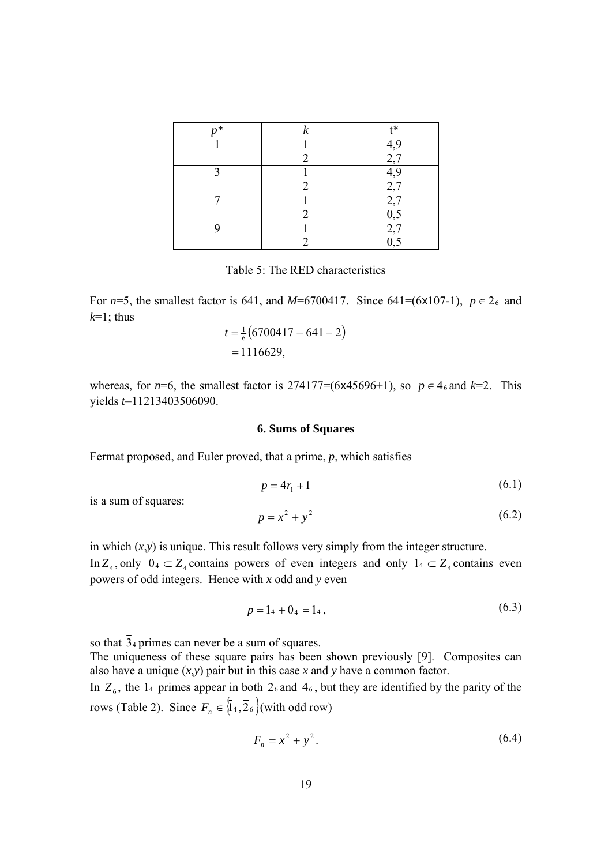| $n*$ | †*       |
|------|----------|
|      | 4,9      |
|      | 2,7      |
|      | 4,9      |
|      | 2,7      |
|      | 2,7      |
|      | $_{0,5}$ |
|      | 2,7      |
|      | 0,5      |

Table 5: The RED characteristics

For *n*=5, the smallest factor is 641, and *M*=6700417. Since 641=(6x107-1),  $p \in \overline{2}_6$  and  $k=1$ ; thus

$$
t = \frac{1}{6}(6700417 - 641 - 2)
$$
  
= 1116629,

whereas, for *n*=6, the smallest factor is 274177=(6x45696+1), so  $p \in \overline{4}_6$  and  $k=2$ . This yields *t*=11213403506090.

### **6. Sums of Squares**

Fermat proposed, and Euler proved, that a prime, *p*, which satisfies

$$
p = 4r_1 + 1\tag{6.1}
$$

is a sum of squares:

$$
p = x^2 + y^2 \tag{6.2}
$$

in which  $(x, y)$  is unique. This result follows very simply from the integer structure. In  $Z_4$ , only  $\bar{0}_4 \subset Z_4$  contains powers of even integers and only  $\bar{1}_4 \subset Z_4$  contains even powers of odd integers. Hence with *x* odd and *y* even

$$
p = \bar{1}_4 + \bar{0}_4 = \bar{1}_4, \tag{6.3}
$$

so that  $\overline{3}_4$  primes can never be a sum of squares.

The uniqueness of these square pairs has been shown previously [9]. Composites can also have a unique  $(x, y)$  pair but in this case *x* and *y* have a common factor.

In  $Z_6$ , the  $\bar{1}_4$  primes appear in both  $\bar{2}_6$  and  $\bar{4}_6$ , but they are identified by the parity of the rows (Table 2). Since  $F_n \in \{1, 26\}$  (with odd row)

$$
F_n = x^2 + y^2. \tag{6.4}
$$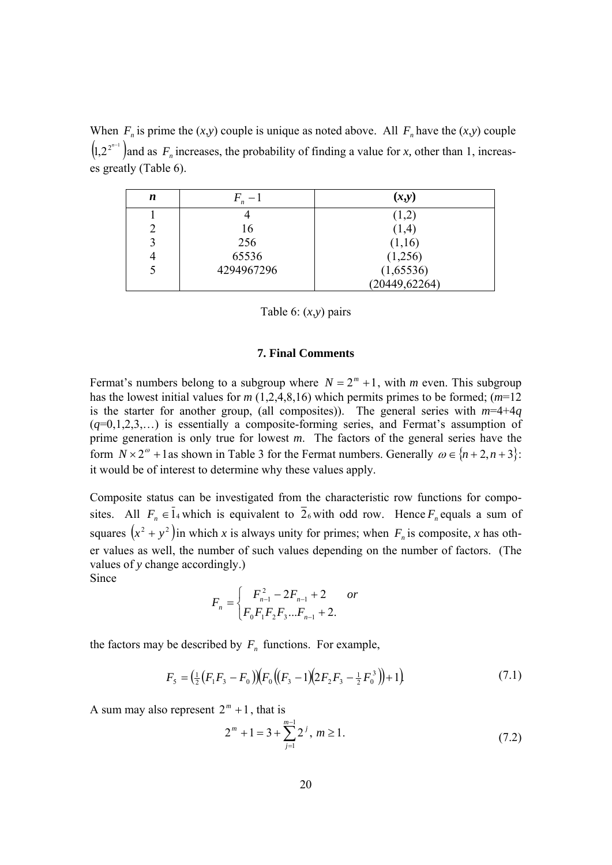When  $F_n$  is prime the  $(x,y)$  couple is unique as noted above. All  $F_n$  have the  $(x,y)$  couple  $(1, 2^{2^{n-1}})$  and as  $F_n$  increases, the probability of finding a value for *x*, other than 1, increases greatly (Table 6).

| n                      | $F - 1$    | (x,y)          |
|------------------------|------------|----------------|
|                        |            | (1,2)          |
|                        | 16         | (1,4)          |
| $\mathbf{\mathcal{R}}$ | 256        | (1,16)         |
|                        | 65536      | (1,256)        |
|                        | 4294967296 | (1,65536)      |
|                        |            | (20449, 62264) |

Table 6: (*x*,*y*) pairs

### **7. Final Comments**

Fermat's numbers belong to a subgroup where  $N = 2<sup>m</sup> + 1$ , with *m* even. This subgroup has the lowest initial values for *m* (1,2,4,8,16) which permits primes to be formed; (*m*=12 is the starter for another group, (all composites)). The general series with  $m=4+4q$ (*q*=0,1,2,3,…) is essentially a composite-forming series, and Fermat's assumption of prime generation is only true for lowest *m*. The factors of the general series have the form  $N \times 2^{\omega} + 1$  as shown in Table 3 for the Fermat numbers. Generally  $\omega \in \{n+2, n+3\}$ : it would be of interest to determine why these values apply.

Composite status can be investigated from the characteristic row functions for composites. All  $F_n \in \bar{1}_4$  which is equivalent to  $\bar{2}_6$  with odd row. Hence  $F_n$  equals a sum of squares  $(x^2 + y^2)$  in which *x* is always unity for primes; when  $F_n$  is composite, *x* has other values as well, the number of such values depending on the number of factors. (The values of *y* change accordingly.) Since

$$
F_n = \begin{cases} F_{n-1}^2 - 2F_{n-1} + 2 & or \\ F_0 F_1 F_2 F_3 ... F_{n-1} + 2. \end{cases}
$$

the factors may be described by  $F_n$  functions. For example,

$$
F_5 = \left(\frac{1}{2}\left(F_1F_3 - F_0\right)\right)\left(F_0\left(\left(F_3 - 1\right)\left(2F_2F_3 - \frac{1}{2}F_0^3\right)\right) + 1\right) \tag{7.1}
$$

A sum may also represent  $2^m + 1$ , that is

$$
2^{m} + 1 = 3 + \sum_{j=1}^{m-1} 2^{j}, \, m \ge 1. \tag{7.2}
$$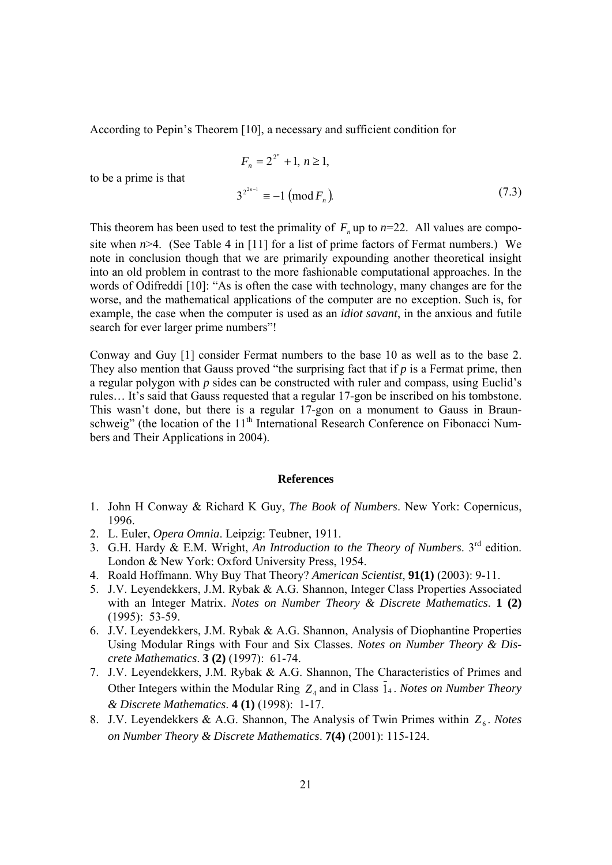According to Pepin's Theorem [10], a necessary and sufficient condition for

$$
F_n = 2^{2^n} + 1, n \ge 1,
$$
  

$$
3^{2^{2n-1}} \equiv -1 \pmod{F_n}
$$
 (7.3)

to be a prime is that

This theorem has been used to test the primality of  $F<sub>n</sub>$  up to  $n=22$ . All values are composite when *n*>4. (See Table 4 in [11] for a list of prime factors of Fermat numbers.) We note in conclusion though that we are primarily expounding another theoretical insight into an old problem in contrast to the more fashionable computational approaches. In the words of Odifreddi [10]: "As is often the case with technology, many changes are for the worse, and the mathematical applications of the computer are no exception. Such is, for example, the case when the computer is used as an *idiot savant*, in the anxious and futile search for ever larger prime numbers"!

Conway and Guy [1] consider Fermat numbers to the base 10 as well as to the base 2. They also mention that Gauss proved "the surprising fact that if *p* is a Fermat prime, then a regular polygon with *p* sides can be constructed with ruler and compass, using Euclid's rules… It's said that Gauss requested that a regular 17-gon be inscribed on his tombstone. This wasn't done, but there is a regular 17-gon on a monument to Gauss in Braunschweig" (the location of the 11<sup>th</sup> International Research Conference on Fibonacci Numbers and Their Applications in 2004).

#### **References**

- 1. John H Conway & Richard K Guy, *The Book of Numbers*. New York: Copernicus, 1996.
- 2. L. Euler, *Opera Omnia*. Leipzig: Teubner, 1911.
- 3. G.H. Hardy & E.M. Wright, *An Introduction to the Theory of Numbers*. 3rd edition. London & New York: Oxford University Press, 1954.
- 4. Roald Hoffmann. Why Buy That Theory? *American Scientist*, **91(1)** (2003): 9-11.
- 5. J.V. Leyendekkers, J.M. Rybak & A.G. Shannon, Integer Class Properties Associated with an Integer Matrix. *Notes on Number Theory & Discrete Mathematics*. **1 (2)** (1995): 53-59.
- 6. J.V. Leyendekkers, J.M. Rybak & A.G. Shannon, Analysis of Diophantine Properties Using Modular Rings with Four and Six Classes. *Notes on Number Theory & Discrete Mathematics*. **3 (2)** (1997): 61-74.
- 7. J.V. Leyendekkers, J.M. Rybak & A.G. Shannon, The Characteristics of Primes and Other Integers within the Modular Ring  $Z_4$  and in Class 14. *Notes on Number Theory & Discrete Mathematics*. **4 (1)** (1998): 1-17.
- 8. J.V. Leyendekkers & A.G. Shannon, The Analysis of Twin Primes within  $Z_6$ . *Notes on Number Theory & Discrete Mathematics*. **7(4)** (2001): 115-124.